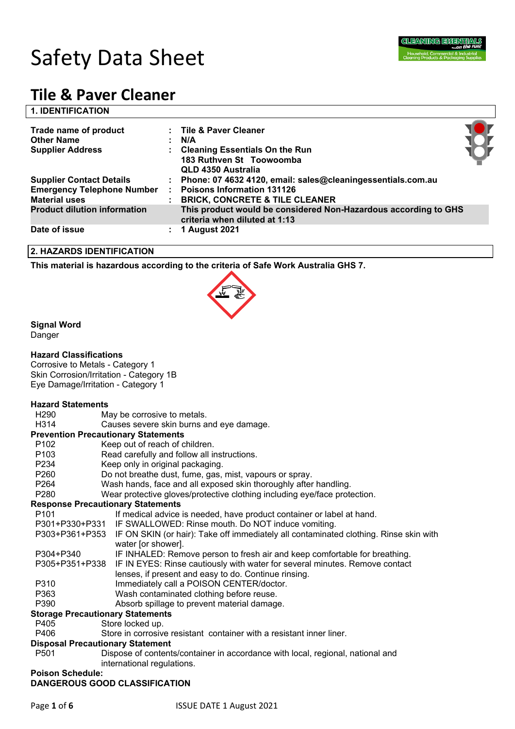

# **1. IDENTIFICATION**

| Trade name of product<br><b>Other Name</b><br><b>Supplier Address</b>                        | : Tile & Paver Cleaner<br>N/A<br>: Cleaning Essentials On the Run<br>183 Ruthven St Toowoomba<br>QLD 4350 Australia                             |  |
|----------------------------------------------------------------------------------------------|-------------------------------------------------------------------------------------------------------------------------------------------------|--|
| <b>Supplier Contact Details</b><br><b>Emergency Telephone Number</b><br><b>Material uses</b> | : Phone: 07 4632 4120, email: sales@cleaningessentials.com.au<br><b>Poisons Information 131126</b><br><b>BRICK, CONCRETE &amp; TILE CLEANER</b> |  |
| <b>Product dilution information</b>                                                          | This product would be considered Non-Hazardous according to GHS<br>criteria when diluted at 1:13                                                |  |
| Date of issue                                                                                | <b>1 August 2021</b>                                                                                                                            |  |

#### **2. HAZARDS IDENTIFICATION**

**This material is hazardous according to the criteria of Safe Work Australia GHS 7.**



# **Signal Word**

Danger

# **Hazard Classifications**

Corrosive to Metals - Category 1 Skin Corrosion/Irritation - Category 1B Eye Damage/Irritation - Category 1

# **Hazard Statements**

H290 May be corrosive to metals.

H314 Causes severe skin burns and eye damage.

#### **Prevention Precautionary Statements**

- P102 Keep out of reach of children.
- P103 Read carefully and follow all instructions.
- P234 Keep only in original packaging.
- P260 Do not breathe dust, fume, gas, mist, vapours or spray.
- P264 Wash hands, face and all exposed skin thoroughly after handling.
- P280 Wear protective gloves/protective clothing including eye/face protection.

#### **Response Precautionary Statements**

- P101 If medical advice is needed, have product container or label at hand. P301+P330+P331 IF SWALLOWED: Rinse mouth. Do NOT induce vomiting. P303+P361+P353 IF ON SKIN (or hair): Take off immediately all contaminated clothing. Rinse skin with water [or shower]. P304+P340 IF INHALED: Remove person to fresh air and keep comfortable for breathing. P305+P351+P338 IF IN EYES: Rinse cautiously with water for several minutes. Remove contact lenses, if present and easy to do. Continue rinsing. P310 Immediately call a POISON CENTER/doctor. P363 Wash contaminated clothing before reuse.
- P390 Absorb spillage to prevent material damage.

#### **Storage Precautionary Statements**

- P405 Store locked up.
- P406 Store in corrosive resistant container with a resistant inner liner.

#### **Disposal Precautionary Statement**

P501 Dispose of contents/container in accordance with local, regional, national and international regulations.

#### **Poison Schedule: DANGEROUS GOOD CLASSIFICATION**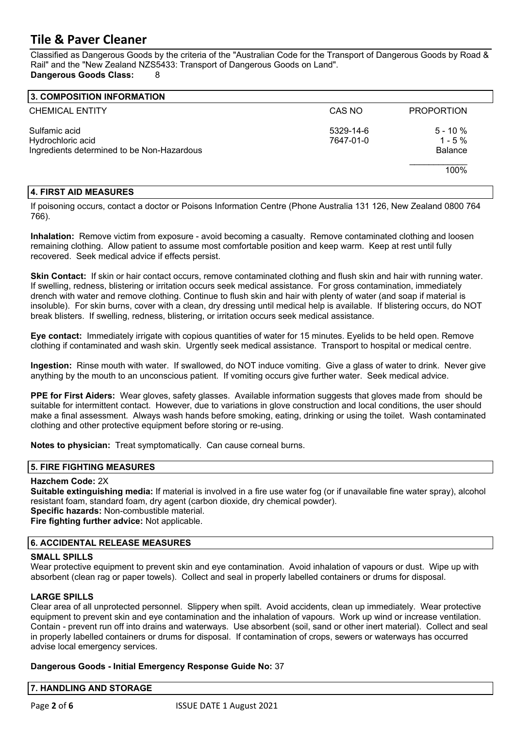Classified as Dangerous Goods by the criteria of the "Australian Code for the Transport of Dangerous Goods by Road & Rail" and the "New Zealand NZS5433: Transport of Dangerous Goods on Land". **Dangerous Goods Class:** 8

| 3. COMPOSITION INFORMATION                                                       |                        |                                           |
|----------------------------------------------------------------------------------|------------------------|-------------------------------------------|
| <b>CHEMICAL ENTITY</b>                                                           | CAS NO                 | <b>PROPORTION</b>                         |
| Sulfamic acid<br>Hydrochloric acid<br>Ingredients determined to be Non-Hazardous | 5329-14-6<br>7647-01-0 | $5 - 10 \%$<br>$1 - 5%$<br><b>Balance</b> |
|                                                                                  |                        | 100%                                      |

# **4. FIRST AID MEASURES**

If poisoning occurs, contact a doctor or Poisons Information Centre (Phone Australia 131 126, New Zealand 0800 764 766).

**Inhalation:** Remove victim from exposure - avoid becoming a casualty. Remove contaminated clothing and loosen remaining clothing. Allow patient to assume most comfortable position and keep warm. Keep at rest until fully recovered. Seek medical advice if effects persist.

**Skin Contact:** If skin or hair contact occurs, remove contaminated clothing and flush skin and hair with running water. If swelling, redness, blistering or irritation occurs seek medical assistance. For gross contamination, immediately drench with water and remove clothing. Continue to flush skin and hair with plenty of water (and soap if material is insoluble). For skin burns, cover with a clean, dry dressing until medical help is available. If blistering occurs, do NOT break blisters. If swelling, redness, blistering, or irritation occurs seek medical assistance.

**Eye contact:** Immediately irrigate with copious quantities of water for 15 minutes. Eyelids to be held open. Remove clothing if contaminated and wash skin. Urgently seek medical assistance. Transport to hospital or medical centre.

**Ingestion:** Rinse mouth with water. If swallowed, do NOT induce vomiting. Give a glass of water to drink. Never give anything by the mouth to an unconscious patient. If vomiting occurs give further water. Seek medical advice.

**PPE for First Aiders:** Wear gloves, safety glasses. Available information suggests that gloves made from should be suitable for intermittent contact. However, due to variations in glove construction and local conditions, the user should make a final assessment. Always wash hands before smoking, eating, drinking or using the toilet. Wash contaminated clothing and other protective equipment before storing or re-using.

**Notes to physician:** Treat symptomatically. Can cause corneal burns.

# **5. FIRE FIGHTING MEASURES**

# **Hazchem Code:** 2X

**Suitable extinguishing media:** If material is involved in a fire use water fog (or if unavailable fine water spray), alcohol resistant foam, standard foam, dry agent (carbon dioxide, dry chemical powder). **Specific hazards:** Non-combustible material. **Fire fighting further advice:** Not applicable.

# **6. ACCIDENTAL RELEASE MEASURES**

#### **SMALL SPILLS**

Wear protective equipment to prevent skin and eye contamination. Avoid inhalation of vapours or dust. Wipe up with absorbent (clean rag or paper towels). Collect and seal in properly labelled containers or drums for disposal.

# **LARGE SPILLS**

Clear area of all unprotected personnel. Slippery when spilt. Avoid accidents, clean up immediately. Wear protective equipment to prevent skin and eye contamination and the inhalation of vapours. Work up wind or increase ventilation. Contain - prevent run off into drains and waterways. Use absorbent (soil, sand or other inert material). Collect and seal in properly labelled containers or drums for disposal. If contamination of crops, sewers or waterways has occurred advise local emergency services.

# **Dangerous Goods - Initial Emergency Response Guide No:** 37

**7. HANDLING AND STORAGE**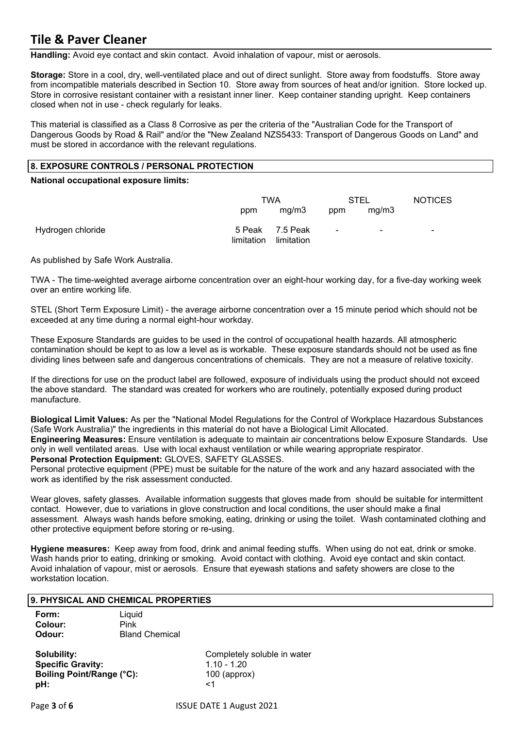**Handling:** Avoid eye contact and skin contact. Avoid inhalation of vapour, mist or aerosols.

**Storage:** Store in a cool, dry, well-ventilated place and out of direct sunlight. Store away from foodstuffs. Store away from incompatible materials described in Section 10. Store away from sources of heat and/or ignition. Store locked up. Store in corrosive resistant container with a resistant inner liner. Keep container standing upright. Keep containers closed when not in use - check regularly for leaks.

This material is classified as a Class 8 Corrosive as per the criteria of the "Australian Code for the Transport of Dangerous Goods by Road & Rail" and/or the "New Zealand NZS5433: Transport of Dangerous Goods on Land" and must be stored in accordance with the relevant regulations.

#### **8. EXPOSURE CONTROLS / PERSONAL PROTECTION**

**National occupational exposure limits:** 

|                   | TWA        |                               | <b>STEL</b>    |        | <b>NOTICES</b> |
|-------------------|------------|-------------------------------|----------------|--------|----------------|
|                   | ppm        | mg/m3                         | ppm            | mg/m3  |                |
| Hydrogen chloride | limitation | 5 Peak 7.5 Peak<br>limitation | $\blacksquare$ | $\sim$ | -              |

As published by Safe Work Australia.

TWA - The time-weighted average airborne concentration over an eight-hour working day, for a five-day working week over an entire working life.

STEL (Short Term Exposure Limit) - the average airborne concentration over a 15 minute period which should not be exceeded at any time during a normal eight-hour workday.

These Exposure Standards are guides to be used in the control of occupational health hazards. All atmospheric contamination should be kept to as low a level as is workable. These exposure standards should not be used as fine dividing lines between safe and dangerous concentrations of chemicals. They are not a measure of relative toxicity.

If the directions for use on the product label are followed, exposure of individuals using the product should not exceed the above standard. The standard was created for workers who are routinely, potentially exposed during product manufacture.

**Biological Limit Values:** As per the "National Model Regulations for the Control of Workplace Hazardous Substances (Safe Work Australia)" the ingredients in this material do not have a Biological Limit Allocated.

**Engineering Measures:** Ensure ventilation is adequate to maintain air concentrations below Exposure Standards. Use only in well ventilated areas. Use with local exhaust ventilation or while wearing appropriate respirator. **Personal Protection Equipment:** GLOVES, SAFETY GLASSES.

Personal protective equipment (PPE) must be suitable for the nature of the work and any hazard associated with the work as identified by the risk assessment conducted.

Wear gloves, safety glasses. Available information suggests that gloves made from should be suitable for intermittent contact. However, due to variations in glove construction and local conditions, the user should make a final assessment. Always wash hands before smoking, eating, drinking or using the toilet. Wash contaminated clothing and other protective equipment before storing or re-using.

**Hygiene measures:** Keep away from food, drink and animal feeding stuffs. When using do not eat, drink or smoke. Wash hands prior to eating, drinking or smoking. Avoid contact with clothing. Avoid eye contact and skin contact. Avoid inhalation of vapour, mist or aerosols. Ensure that eyewash stations and safety showers are close to the workstation location.

#### **9. PHYSICAL AND CHEMICAL PROPERTIES**

| Form:   | Liquid                |
|---------|-----------------------|
| Colour: | Pink                  |
| Odour:  | <b>Bland Chemical</b> |

**Specific Gravity:** 1.10 - 1.20 **Boiling Point/Range (°C):** 100 (approx) **pH:**  $\le$  1

**Solubility:** Completely soluble in water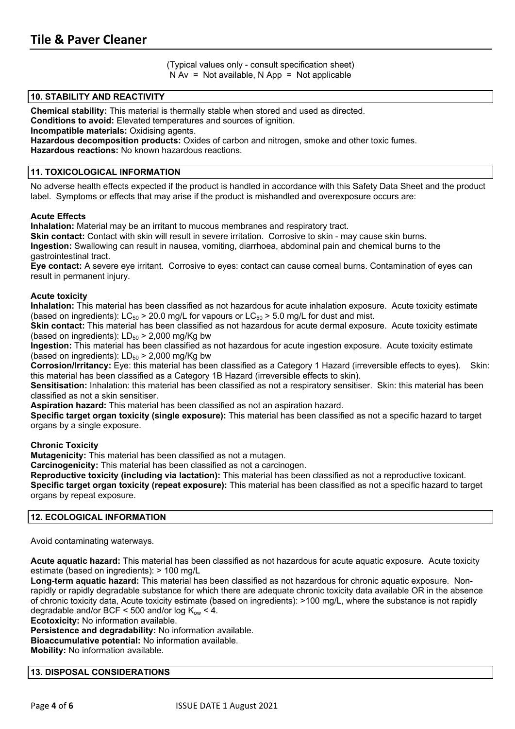(Typical values only - consult specification sheet)  $N Av = Not available$ ,  $N App = Not applicable$ 

#### **10. STABILITY AND REACTIVITY**

**Chemical stability:** This material is thermally stable when stored and used as directed.

**Conditions to avoid:** Elevated temperatures and sources of ignition.

**Incompatible materials:** Oxidising agents.

**Hazardous decomposition products:** Oxides of carbon and nitrogen, smoke and other toxic fumes.

**Hazardous reactions:** No known hazardous reactions.

#### **11. TOXICOLOGICAL INFORMATION**

No adverse health effects expected if the product is handled in accordance with this Safety Data Sheet and the product label. Symptoms or effects that may arise if the product is mishandled and overexposure occurs are:

#### **Acute Effects**

**Inhalation:** Material may be an irritant to mucous membranes and respiratory tract.

**Skin contact:** Contact with skin will result in severe irritation. Corrosive to skin - may cause skin burns. **Ingestion:** Swallowing can result in nausea, vomiting, diarrhoea, abdominal pain and chemical burns to the gastrointestinal tract.

**Eye contact:** A severe eye irritant. Corrosive to eyes: contact can cause corneal burns. Contamination of eyes can result in permanent injury.

#### **Acute toxicity**

**Inhalation:** This material has been classified as not hazardous for acute inhalation exposure. Acute toxicity estimate (based on ingredients):  $LC_{50} > 20.0$  mg/L for vapours or  $LC_{50} > 5.0$  mg/L for dust and mist.

**Skin contact:** This material has been classified as not hazardous for acute dermal exposure. Acute toxicity estimate (based on ingredients):  $LD_{50}$  > 2,000 mg/Kg bw

**Ingestion:** This material has been classified as not hazardous for acute ingestion exposure. Acute toxicity estimate (based on ingredients):  $LD_{50}$  > 2,000 mg/Kg bw

**Corrosion/Irritancy:** Eye: this material has been classified as a Category 1 Hazard (irreversible effects to eyes). Skin: this material has been classified as a Category 1B Hazard (irreversible effects to skin).

**Sensitisation:** Inhalation: this material has been classified as not a respiratory sensitiser. Skin: this material has been classified as not a skin sensitiser.

**Aspiration hazard:** This material has been classified as not an aspiration hazard.

**Specific target organ toxicity (single exposure):** This material has been classified as not a specific hazard to target organs by a single exposure.

#### **Chronic Toxicity**

**Mutagenicity:** This material has been classified as not a mutagen.

**Carcinogenicity:** This material has been classified as not a carcinogen.

**Reproductive toxicity (including via lactation):** This material has been classified as not a reproductive toxicant. **Specific target organ toxicity (repeat exposure):** This material has been classified as not a specific hazard to target organs by repeat exposure.

#### **12. ECOLOGICAL INFORMATION**

Avoid contaminating waterways.

**Acute aquatic hazard:** This material has been classified as not hazardous for acute aquatic exposure. Acute toxicity estimate (based on ingredients): > 100 mg/L

**Long-term aquatic hazard:** This material has been classified as not hazardous for chronic aquatic exposure. Nonrapidly or rapidly degradable substance for which there are adequate chronic toxicity data available OR in the absence of chronic toxicity data, Acute toxicity estimate (based on ingredients): >100 mg/L, where the substance is not rapidly degradable and/or BCF < 500 and/or log  $K_{ow}$  < 4.

**Ecotoxicity:** No information available.

**Persistence and degradability:** No information available.

**Bioaccumulative potential:** No information available.

**Mobility:** No information available.

#### **13. DISPOSAL CONSIDERATIONS**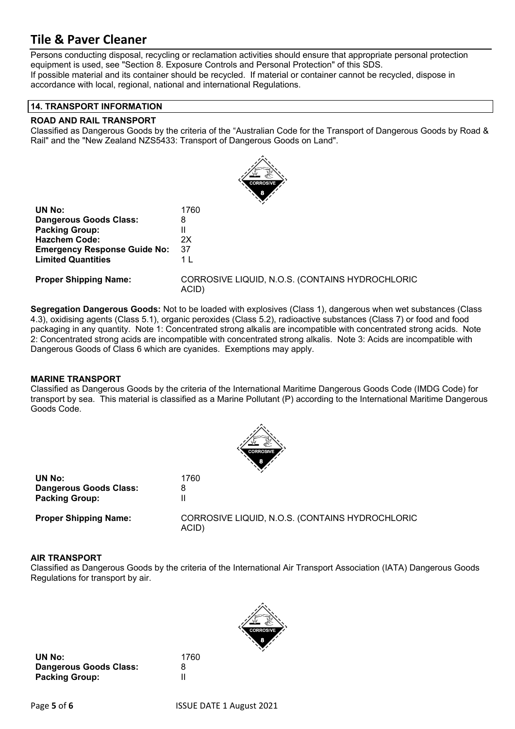Persons conducting disposal, recycling or reclamation activities should ensure that appropriate personal protection equipment is used, see "Section 8. Exposure Controls and Personal Protection" of this SDS. If possible material and its container should be recycled. If material or container cannot be recycled, dispose in accordance with local, regional, national and international Regulations.

#### **14. TRANSPORT INFORMATION**

#### **ROAD AND RAIL TRANSPORT**

Classified as Dangerous Goods by the criteria of the "Australian Code for the Transport of Dangerous Goods by Road & Rail" and the "New Zealand NZS5433: Transport of Dangerous Goods on Land".



| 1760 |
|------|
| 8    |
| Ш    |
| 2X   |
| 37   |
| 1 I  |
|      |

**Proper Shipping Name:** CORROSIVE LIQUID, N.O.S. (CONTAINS HYDROCHLORIC ACID)

**Segregation Dangerous Goods:** Not to be loaded with explosives (Class 1), dangerous when wet substances (Class 4.3), oxidising agents (Class 5.1), organic peroxides (Class 5.2), radioactive substances (Class 7) or food and food packaging in any quantity. Note 1: Concentrated strong alkalis are incompatible with concentrated strong acids. Note 2: Concentrated strong acids are incompatible with concentrated strong alkalis. Note 3: Acids are incompatible with Dangerous Goods of Class 6 which are cyanides. Exemptions may apply.

# **MARINE TRANSPORT**

Classified as Dangerous Goods by the criteria of the International Maritime Dangerous Goods Code (IMDG Code) for transport by sea. This material is classified as a Marine Pollutant (P) according to the International Maritime Dangerous Goods Code.



| UN No:                       | 1760     |
|------------------------------|----------|
| Dangerous Goods Class:       | 8        |
| <b>Packing Group:</b>        |          |
| <b>Proper Shinning Name:</b> | CORROSIV |

**Proper Shipping Name:** CORROSIVE LIQUID, N.O.S. (CONTAINS HYDROCHLORIC ACID)

# **AIR TRANSPORT**

Classified as Dangerous Goods by the criteria of the International Air Transport Association (IATA) Dangerous Goods Regulations for transport by air.



**UN No:** 1760 **Dangerous Goods Class:** 8 **Packing Group:** II